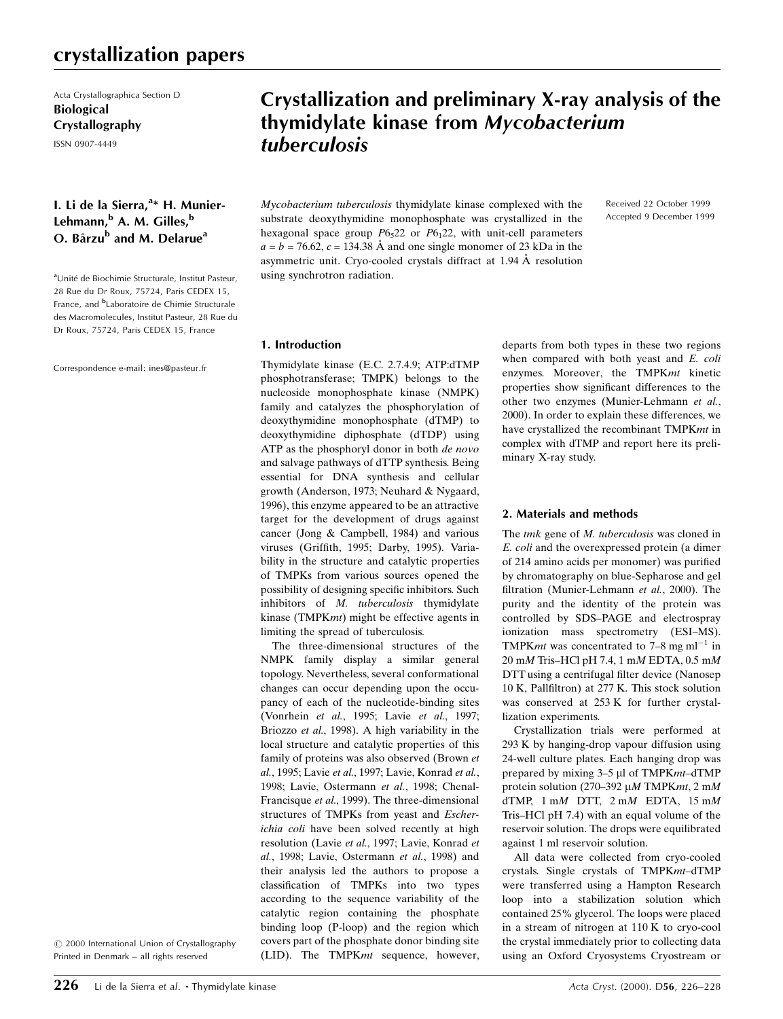## crystallization papers

Acta Crystallographica Section D Biological Crystallography

ISSN 0907-4449

### I. Li de la Sierra,<sup>a\*</sup> H. Munier-Lehmann,<sup>b</sup> A. M. Gilles,<sup>b</sup> O. Bârzu<sup>b</sup> and M. Delarue<sup>a</sup>

<sup>a</sup>Unité de Biochimie Structurale, Institut Pasteur, 28 Rue du Dr Roux, 75724, Paris CEDEX 15, France, and <sup>b</sup>Laboratoire de Chimie Structurale des Macromolecules, Institut Pasteur, 28 Rue du Dr Roux, 75724, Paris CEDEX 15, France

Correspondence e-mail: ines@pasteur.fr

 $\odot$  2000 International Union of Crystallography Printed in Denmark - all rights reserved

# Crystallization and preliminary X-ray analysis of the thymidylate kinase from Mycobacterium tuberculosis

Mycobacterium tuberculosis thymidylate kinase complexed with the substrate deoxythymidine monophosphate was crystallized in the hexagonal space group  $P6<sub>5</sub>22$  or  $P6<sub>1</sub>22$ , with unit-cell parameters  $a = b = 76.62$ ,  $c = 134.38$  Å and one single monomer of 23 kDa in the asymmetric unit. Cryo-cooled crystals diffract at  $1.94 \text{ Å}$  resolution using synchrotron radiation.

Received 22 October 1999 Accepted 9 December 1999

#### 1. Introduction

Thymidylate kinase (E.C. 2.7.4.9; ATP:dTMP phosphotransferase; TMPK) belongs to the nucleoside monophosphate kinase (NMPK) family and catalyzes the phosphorylation of deoxythymidine monophosphate (dTMP) to deoxythymidine diphosphate (dTDP) using ATP as the phosphoryl donor in both de novo and salvage pathways of dTTP synthesis. Being essential for DNA synthesis and cellular growth (Anderson, 1973; Neuhard & Nygaard, 1996), this enzyme appeared to be an attractive target for the development of drugs against cancer (Jong & Campbell, 1984) and various viruses (Griffith, 1995; Darby, 1995). Variability in the structure and catalytic properties of TMPKs from various sources opened the possibility of designing specific inhibitors. Such inhibitors of M. tuberculosis thymidylate kinase (TMPKmt) might be effective agents in limiting the spread of tuberculosis.

The three-dimensional structures of the NMPK family display a similar general topology. Nevertheless, several conformational changes can occur depending upon the occupancy of each of the nucleotide-binding sites (Vonrhein et al., 1995; Lavie et al., 1997; Briozzo et al., 1998). A high variability in the local structure and catalytic properties of this family of proteins was also observed (Brown et al., 1995; Lavie et al., 1997; Lavie, Konrad et al., 1998; Lavie, Ostermann et al., 1998; Chenal-Francisque et al., 1999). The three-dimensional structures of TMPKs from yeast and Escherichia coli have been solved recently at high resolution (Lavie et al., 1997; Lavie, Konrad et al., 1998; Lavie, Ostermann et al., 1998) and their analysis led the authors to propose a classification of TMPKs into two types according to the sequence variability of the catalytic region containing the phosphate binding loop (P-loop) and the region which covers part of the phosphate donor binding site (LID). The TMPKmt sequence, however,

departs from both types in these two regions when compared with both yeast and E. coli enzymes. Moreover, the TMPKmt kinetic properties show significant differences to the other two enzymes (Munier-Lehmann et al., 2000). In order to explain these differences, we have crystallized the recombinant TMPKmt in complex with dTMP and report here its preliminary X-ray study.

### 2. Materials and methods

The tmk gene of M. tuberculosis was cloned in E. coli and the overexpressed protein (a dimer of 214 amino acids per monomer) was purified by chromatography on blue-Sepharose and gel filtration (Munier-Lehmann et al., 2000). The purity and the identity of the protein was controlled by SDS-PAGE and electrospray ionization mass spectrometry (ESI-MS). TMPK*mt* was concentrated to 7–8 mg ml<sup> $-1$ </sup> in  $20 \text{ }\mathrm{m}M$  Tris-HCl pH 7.4, 1 mM EDTA,  $0.5 \text{ }\mathrm{m}M$ DTT using a centrifugal filter device (Nanosep 10 K, Pallfiltron) at 277 K. This stock solution was conserved at 253 K for further crystallization experiments.

Crystallization trials were performed at 293 K by hanging-drop vapour diffusion using 24-well culture plates. Each hanging drop was prepared by mixing  $3-5$  µl of TMPK $mt$ -dTMP protein solution (270-392  $\mu$ M TMPKmt, 2 mM dTMP,  $1 \text{ m}$ M DTT,  $2 \text{ m}$ M EDTA,  $15 \text{ m}$ M Tris-HCl pH 7.4) with an equal volume of the reservoir solution. The drops were equilibrated against 1 ml reservoir solution.

All data were collected from cryo-cooled crystals. Single crystals of TMPKmt-dTMP were transferred using a Hampton Research loop into a stabilization solution which contained 25% glycerol. The loops were placed in a stream of nitrogen at 110 K to cryo-cool the crystal immediately prior to collecting data using an Oxford Cryosystems Cryostream or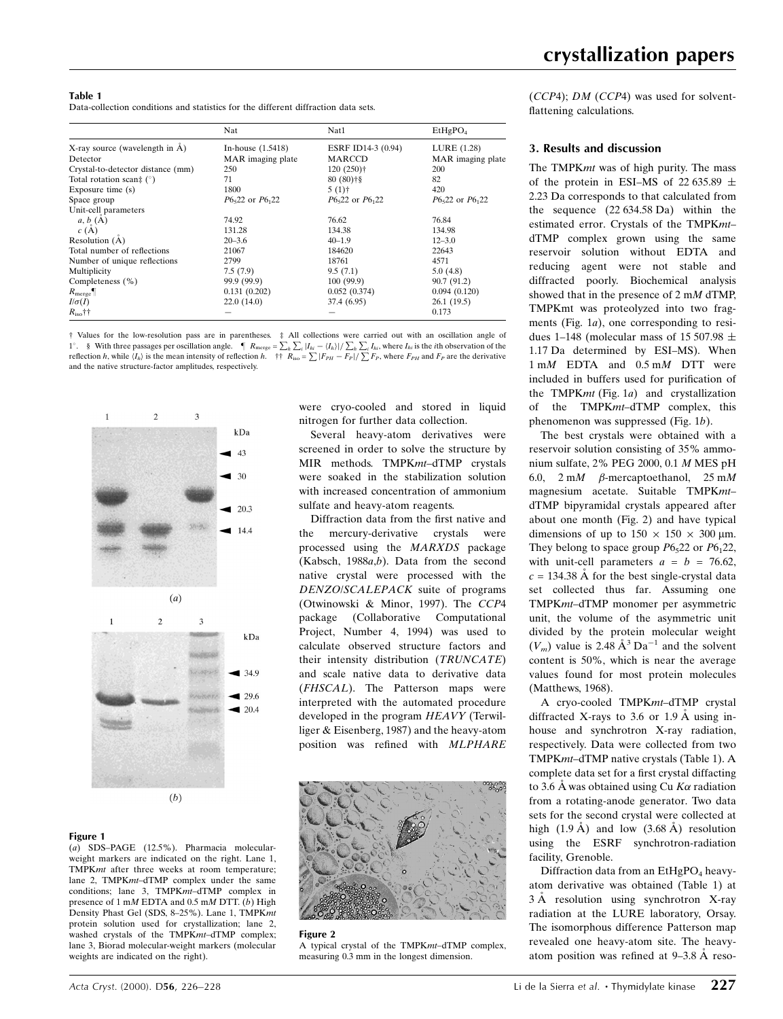|                                               | Nat                 | Nat1                    | EtHgPO <sub>4</sub> |
|-----------------------------------------------|---------------------|-------------------------|---------------------|
| X-ray source (wavelength in $\overline{A}$ )  | In-house $(1.5418)$ | ESRF ID14-3 (0.94)      | LURE (1.28)         |
| Detector                                      | MAR imaging plate   | <b>MARCCD</b>           | MAR imaging plate   |
| Crystal-to-detector distance (mm)             | 250                 | $120(250)$ <sup>+</sup> | 200                 |
| Total rotation scan‡ $(°)$                    | 71                  | $80(80)$ <sup>+§</sup>  | 82                  |
| Exposure time (s)                             | 1800                | $5(1)$ †                | 420                 |
| Space group                                   | $P6522$ or $P6122$  | $P6522$ or $P6122$      | $P6522$ or $P6122$  |
| Unit-cell parameters                          |                     |                         |                     |
| $a, b$ <sub><math>_{\circ}</math></sub> $(A)$ | 74.92               | 76.62                   | 76.84               |
| c(A)                                          | 131.28              | 134.38                  | 134.98              |
| Resolution $(A)$                              | $20 - 3.6$          | $40 - 1.9$              | $12 - 3.0$          |
| Total number of reflections                   | 21067               | 184620                  | 22643               |
| Number of unique reflections                  | 2799                | 18761                   | 4571                |
| Multiplicity                                  | 7.5(7.9)            | 9.5(7.1)                | 5.0(4.8)            |
| Completeness (%)                              | 99.9 (99.9)         | 100(99.9)               | 90.7 (91.2)         |
| $R_{\text{merge}}$                            | 0.131(0.202)        | 0.052(0.374)            | 0.094(0.120)        |
| $I/\sigma(I)$                                 | 22.0(14.0)          | 37.4 (6.95)             | 26.1(19.5)          |
| $R_{\rm iso}$ ††                              |                     |                         | 0.173               |

² Values for the low-resolution pass are in parentheses. ³ All collections were carried out with an oscillation angle of 1°. § With three passages per oscillation angle.  $\P$   $R_{\text{merge}} = \sum_h \sum_i |I_{hi} - \langle I_h \rangle| / \sum_h \sum_i I_{hi}$ , where  $I_{hi}$  is the *i*th observation of the reflection *h*, while  $\langle I_h \rangle$  is the mean intensity of reflection *h*.  $\dagger \dagger R$ and the native structure-factor amplitudes, respectively.



#### Figure 1

(a) SDS-PAGE (12.5%). Pharmacia molecularweight markers are indicated on the right. Lane 1, TMPKmt after three weeks at room temperature; lane 2, TMPKmt-dTMP complex under the same conditions; lane 3, TMPK $m\bar{t}$ -dTMP complex in presence of 1 mM EDTA and 0.5 mM DTT. (b) High Density Phast Gel (SDS, 8-25%). Lane 1, TMPKmt protein solution used for crystallization; lane 2, washed crystals of the TMPKmt-dTMP complex; lane 3, Biorad molecular-weight markers (molecular weights are indicated on the right).

were cryo-cooled and stored in liquid nitrogen for further data collection.

Several heavy-atom derivatives were screened in order to solve the structure by MIR methods. TMPKmt-dTMP crystals were soaked in the stabilization solution with increased concentration of ammonium sulfate and heavy-atom reagents.

Diffraction data from the first native and the mercury-derivative crystals were processed using the MARXDS package (Kabsch, 1988 $a,b$ ). Data from the second native crystal were processed with the DENZO/SCALEPACK suite of programs (Otwinowski & Minor, 1997). The CCP4 package (Collaborative Computational Project, Number 4, 1994) was used to calculate observed structure factors and their intensity distribution (TRUNCATE) and scale native data to derivative data (FHSCAL). The Patterson maps were interpreted with the automated procedure developed in the program HEAVY (Terwilliger & Eisenberg, 1987) and the heavy-atom position was refined with MLPHARE



Figure 2

A typical crystal of the TMPK $mt$ -dTMP complex, measuring 0.3 mm in the longest dimension.

 $(CCP4)$ ; *DM*  $(CCP4)$  was used for solventflattening calculations.

#### 3. Results and discussion

The TMPKmt was of high purity. The mass of the protein in ESI-MS of 22 635.89  $\pm$ 2.23 Da corresponds to that calculated from the sequence (22 634.58 Da) within the estimated error. Crystals of the TMPKmtdTMP complex grown using the same reservoir solution without EDTA and reducing agent were not stable and diffracted poorly. Biochemical analysis showed that in the presence of 2 mM dTMP, TMPKmt was proteolyzed into two fragments (Fig. 1a), one corresponding to residues 1–148 (molecular mass of 15 507.98  $\pm$ 1.17 Da determined by ESI-MS). When 1 mM EDTA and 0.5 mM DTT were included in buffers used for purification of the TMPK $mt$  (Fig. 1a) and crystallization of the TMPKmt-dTMP complex, this phenomenon was suppressed (Fig. 1b).

The best crystals were obtained with a reservoir solution consisting of 35% ammonium sulfate, 2% PEG 2000, 0.1 M MES pH 6.0,  $2 \text{ m}$   $\beta$ -mercaptoethanol,  $25 \text{ m}$ magnesium acetate. Suitable TMPKmtdTMP bipyramidal crystals appeared after about one month (Fig. 2) and have typical dimensions of up to  $150 \times 150 \times 300 \,\mu$ m. They belong to space group  $P6<sub>5</sub>22$  or  $P6<sub>1</sub>22$ , with unit-cell parameters  $a = b = 76.62$ ,  $c = 134.38$  Å for the best single-crystal data set collected thus far. Assuming one TMPKmt-dTMP monomer per asymmetric unit, the volume of the asymmetric unit divided by the protein molecular weight  $(V_m)$  value is 2.48  $\AA^3$  Da<sup>-1</sup> and the solvent content is 50%, which is near the average values found for most protein molecules (Matthews, 1968).

A cryo-cooled TMPKmt-dTMP crystal diffracted X-rays to 3.6 or 1.9 Å using inhouse and synchrotron X-ray radiation, respectively. Data were collected from two TMPKmt-dTMP native crystals (Table 1). A complete data set for a first crystal diffacting to 3.6 Å was obtained using Cu  $K\alpha$  radiation from a rotating-anode generator. Two data sets for the second crystal were collected at high  $(1.9 \text{ Å})$  and low  $(3.68 \text{ Å})$  resolution using the ESRF synchrotron-radiation facility, Grenoble.

Diffraction data from an  $EtHgPO<sub>4</sub>$  heavyatom derivative was obtained (Table 1) at  $3 \text{ Å}$  resolution using synchrotron X-ray radiation at the LURE laboratory, Orsay. The isomorphous difference Patterson map revealed one heavy-atom site. The heavyatom position was refined at  $9-3.8 \text{ Å}$  reso